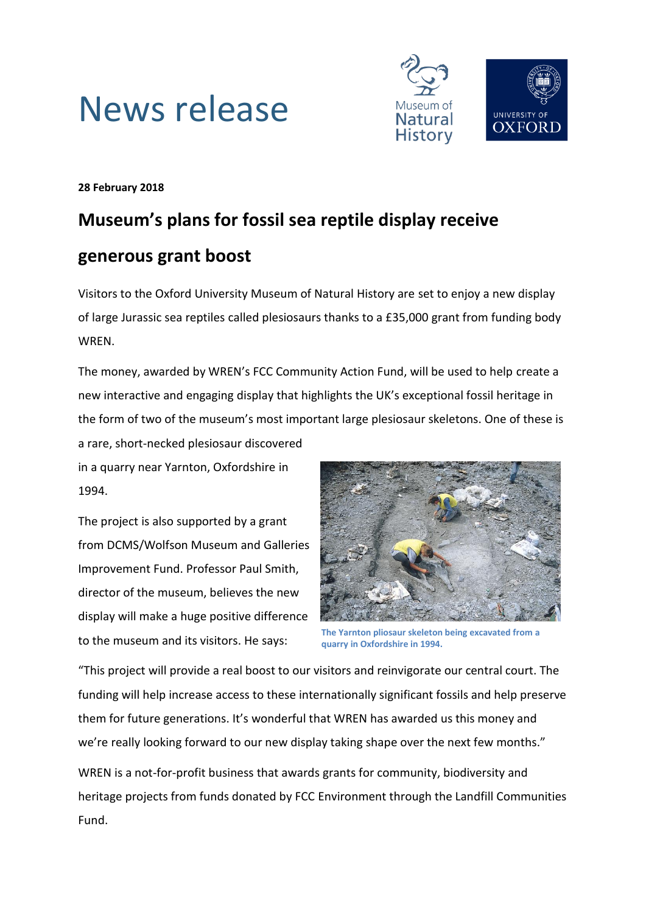



**28 February 2018**

# **Museum's plans for fossil sea reptile display receive**

## **generous grant boost**

Visitors to the Oxford University Museum of Natural History are set to enjoy a new display of large Jurassic sea reptiles called plesiosaurs thanks to a £35,000 grant from funding body WREN.

The money, awarded by WREN's FCC Community Action Fund, will be used to help create a new interactive and engaging display that highlights the UK's exceptional fossil heritage in the form of two of the museum's most important large plesiosaur skeletons. One of these is a rare, short-necked plesiosaur discovered

in a quarry near Yarnton, Oxfordshire in 1994.

The project is also supported by a grant from DCMS/Wolfson Museum and Galleries Improvement Fund. Professor Paul Smith, director of the museum, believes the new display will make a huge positive difference to the museum and its visitors. He says:



**The Yarnton pliosaur skeleton being excavated from a quarry in Oxfordshire in 1994.**

"This project will provide a real boost to our visitors and reinvigorate our central court. The funding will help increase access to these internationally significant fossils and help preserve them for future generations. It's wonderful that WREN has awarded us this money and we're really looking forward to our new display taking shape over the next few months."

WREN is a not-for-profit business that awards grants for community, biodiversity and heritage projects from funds donated by FCC Environment through the Landfill Communities Fund.